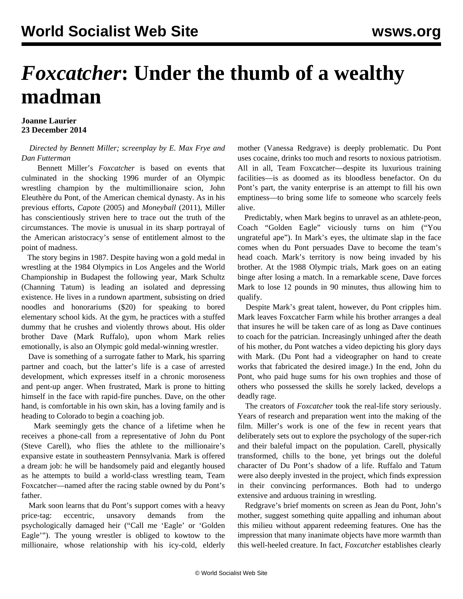## *Foxcatcher***: Under the thumb of a wealthy madman**

## **Joanne Laurier 23 December 2014**

## *Directed by Bennett Miller; screenplay by E. Max Frye and Dan Futterman*

 Bennett Miller's *Foxcatcher* is based on events that culminated in the shocking 1996 murder of an Olympic wrestling champion by the multimillionaire scion, John Eleuthère du Pont, of the American chemical dynasty. As in his previous efforts, *Capote* (2005) and *Moneyball* (2011), Miller has conscientiously striven here to trace out the truth of the circumstances. The movie is unusual in its sharp portrayal of the American aristocracy's sense of entitlement almost to the point of madness.

 The story begins in 1987. Despite having won a gold medal in wrestling at the 1984 Olympics in Los Angeles and the World Championship in Budapest the following year, Mark Schultz (Channing Tatum) is leading an isolated and depressing existence. He lives in a rundown apartment, subsisting on dried noodles and honorariums (\$20) for speaking to bored elementary school kids. At the gym, he practices with a stuffed dummy that he crushes and violently throws about. His older brother Dave (Mark Ruffalo), upon whom Mark relies emotionally, is also an Olympic gold medal-winning wrestler.

 Dave is something of a surrogate father to Mark, his sparring partner and coach, but the latter's life is a case of arrested development, which expresses itself in a chronic moroseness and pent-up anger. When frustrated, Mark is prone to hitting himself in the face with rapid-fire punches. Dave, on the other hand, is comfortable in his own skin, has a loving family and is heading to Colorado to begin a coaching job.

 Mark seemingly gets the chance of a lifetime when he receives a phone-call from a representative of John du Pont (Steve Carell), who flies the athlete to the millionaire's expansive estate in southeastern Pennsylvania. Mark is offered a dream job: he will be handsomely paid and elegantly housed as he attempts to build a world-class wrestling team, Team Foxcatcher—named after the racing stable owned by du Pont's father.

 Mark soon learns that du Pont's support comes with a heavy price-tag: eccentric, unsavory demands from the psychologically damaged heir ("Call me 'Eagle' or 'Golden Eagle'"). The young wrestler is obliged to kowtow to the millionaire, whose relationship with his icy-cold, elderly mother (Vanessa Redgrave) is deeply problematic. Du Pont uses cocaine, drinks too much and resorts to noxious patriotism. All in all, Team Foxcatcher—despite its luxurious training facilities—is as doomed as its bloodless benefactor. On du Pont's part, the vanity enterprise is an attempt to fill his own emptiness—to bring some life to someone who scarcely feels alive.

 Predictably, when Mark begins to unravel as an athlete-peon, Coach "Golden Eagle" viciously turns on him ("You ungrateful ape"). In Mark's eyes, the ultimate slap in the face comes when du Pont persuades Dave to become the team's head coach. Mark's territory is now being invaded by his brother. At the 1988 Olympic trials, Mark goes on an eating binge after losing a match. In a remarkable scene, Dave forces Mark to lose 12 pounds in 90 minutes, thus allowing him to qualify.

 Despite Mark's great talent, however, du Pont cripples him. Mark leaves Foxcatcher Farm while his brother arranges a deal that insures he will be taken care of as long as Dave continues to coach for the patrician. Increasingly unhinged after the death of his mother, du Pont watches a video depicting his glory days with Mark. (Du Pont had a videographer on hand to create works that fabricated the desired image.) In the end, John du Pont, who paid huge sums for his own trophies and those of others who possessed the skills he sorely lacked, develops a deadly rage.

 The creators of *Foxcatcher* took the real-life story seriously. Years of research and preparation went into the making of the film. Miller's work is one of the few in recent years that deliberately sets out to explore the psychology of the super-rich and their baleful impact on the population. Carell, physically transformed, chills to the bone, yet brings out the doleful character of Du Pont's shadow of a life. Ruffalo and Tatum were also deeply invested in the project, which finds expression in their convincing performances. Both had to undergo extensive and arduous training in wrestling.

 Redgrave's brief moments on screen as Jean du Pont, John's mother, suggest something quite appalling and inhuman about this milieu without apparent redeeming features. One has the impression that many inanimate objects have more warmth than this well-heeled creature. In fact, *Foxcatcher* establishes clearly